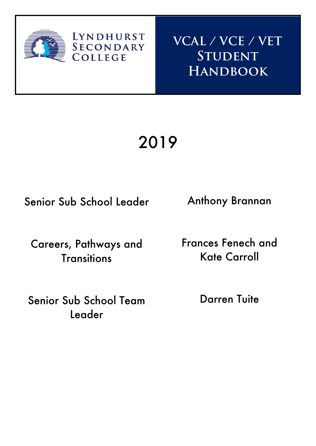

**VCAL / VCE / VET Student Handbook**

# 2019

Senior Sub School Leader

**LYNDHURST** 

**SECONDARY**<br>COLLEGE

Careers, Pathways and **Transitions** 

Senior Sub School Team Leader

Anthony Brannan

Frances Fenech and Kate Carroll

Darren Tuite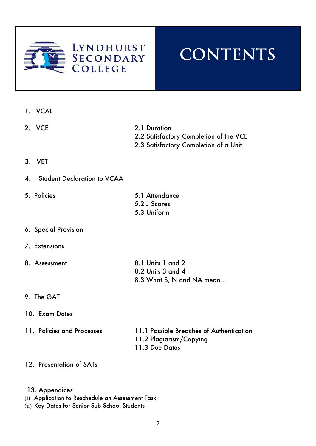

### **LYNDHURST SECONDARY COLLEGE**

## **CONTENTS**

- 1. VCAL
- 
- 2. VCE 2.1 Duration
	- 2.2 Satisfactory Completion of the VCE
	- 2.3 Satisfactory Completion of a Unit

- 3. VET
- 4. Student Declaration to VCAA
- 5. Policies 5.1 Attendance
	- 5.2 J Scores 5.3 Uniform

- 6. Special Provision
- 7. Extensions
- 8. Assessment 8.1 Units 1 and 2 8.2 Units 3 and 4 8.3 What S, N and NA mean…
- 9. The GAT
- 10. Exam Dates
- 
- 11. Policies and Processes 11.1 Possible Breaches of Authentication 11.2 Plagiarism/Copying 11.3 Due Dates
- 12. Presentation of SATs
- 13. Appendices
- (i) Application to Reschedule an Assessment Task
- (ii) Key Dates for Senior Sub School Students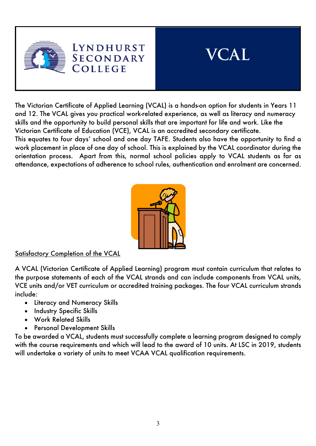



The Victorian Certificate of Applied Learning (VCAL) is a hands-on option for students in Years 11 and 12. The VCAL gives you practical work-related experience, as well as literacy and numeracy skills and the opportunity to build personal skills that are important for life and work. Like the Victorian Certificate of Education (VCE), VCAL is an accredited secondary certificate.

This equates to four days' school and one day TAFE. Students also have the opportunity to find a work placement in place of one day of school. This is explained by the VCAL coordinator during the orientation process. Apart from this, normal school policies apply to VCAL students as far as attendance, expectations of adherence to school rules, authentication and enrolment are concerned.



### Satisfactory Completion of the VCAL

A VCAL (Victorian Certificate of Applied Learning) program must contain curriculum that relates to the purpose statements of each of the VCAL strands and can include components from VCAL units, VCE units and/or VET curriculum or accredited training packages. The four VCAL curriculum strands include:

- Literacy and Numeracy Skills
- Industry Specific Skills
- Work Related Skills
- Personal Development Skills

To be awarded a VCAL, students must successfully complete a learning program designed to comply with the course requirements and which will lead to the award of 10 units. At LSC in 2019, students will undertake a variety of units to meet VCAA VCAL qualification requirements.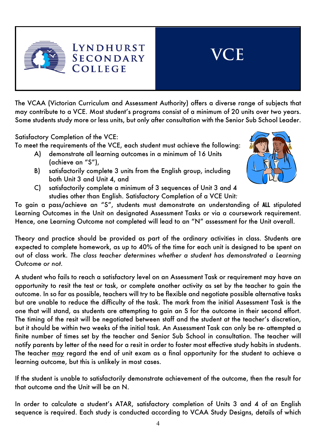

The VCAA (Victorian Curriculum and Assessment Authority) offers a diverse range of subjects that may contribute to a VCE. Most student's programs consist of a minimum of 20 units over two years. Some students study more or less units, but only after consultation with the Senior Sub School Leader.

Satisfactory Completion of the VCE:

To meet the requirements of the VCE, each student must achieve the following:

- A) demonstrate all learning outcomes in a minimum of 16 Units (achieve an "S"),
- B) satisfactorily complete 3 units from the English group, including both Unit 3 and Unit 4, and



**VCE**

C) satisfactorily complete a minimum of 3 sequences of Unit 3 and 4 studies other than English. Satisfactory Completion of a VCE Unit*:*

To gain a pass/achieve an "S", students must demonstrate an understanding of ALL stipulated Learning Outcomes in the Unit on designated Assessment Tasks or via a coursework requirement. Hence, one Learning Outcome not completed will lead to an "N" assessment for the Unit overall.

Theory and practice should be provided as part of the ordinary activities in class. Students are expected to complete homework, as up to 40% of the time for each unit is designed to be spent on out of class work. *The class teacher determines whether a student has demonstrated a Learning Outcome or not.* 

A student who fails to reach a satisfactory level on an Assessment Task or requirement may have an opportunity to resit the test or task, or complete another activity as set by the teacher to gain the outcome. In so far as possible, teachers will try to be flexible and negotiate possible alternative tasks but are unable to reduce the difficulty of the task. The mark from the initial Assessment Task is the one that will stand, as students are attempting to gain an S for the outcome in their second effort. The timing of the resit will be negotiated between staff and the student at the teacher's discretion, but it should be within two weeks of the initial task. An Assessment Task can only be re- attempted a finite number of times set by the teacher and Senior Sub School in consultation. The teacher will notify parents by letter of the need for a resit in order to foster most effective study habits in students. The teacher may regard the end of unit exam as a final opportunity for the student to achieve a learning outcome, but this is unlikely in most cases.

If the student is unable to satisfactorily demonstrate achievement of the outcome, then the result for that outcome and the Unit will be an N.

In order to calculate a student's ATAR, satisfactory completion of Units 3 and 4 of an English sequence is required. Each study is conducted according to VCAA Study Designs, details of which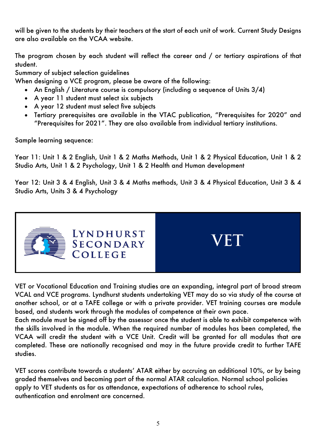will be given to the students by their teachers at the start of each unit of work. Current Study Designs are also available on the VCAA website.

The program chosen by each student will reflect the career and / or tertiary aspirations of that student.

Summary of subject selection guidelines

When designing a VCE program, please be aware of the following:

- An English / Literature course is compulsory (including a sequence of Units 3/4)
- A year 11 student must select six subjects
- A year 12 student must select five subjects
- Tertiary prerequisites are available in the VTAC publication, "Prerequisites for 2020" and "Prerequisites for 2021". They are also available from individual tertiary institutions.

Sample learning sequence:

Year 11: Unit 1 & 2 English, Unit 1 & 2 Maths Methods, Unit 1 & 2 Physical Education, Unit 1 & 2 Studio Arts, Unit 1 & 2 Psychology, Unit 1 & 2 Health and Human development

Year 12: Unit 3 & 4 English, Unit 3 & 4 Maths methods, Unit 3 & 4 Physical Education, Unit 3 & 4 Studio Arts, Units 3 & 4 Psychology



VET or Vocational Education and Training studies are an expanding, integral part of broad stream VCAL and VCE programs. Lyndhurst students undertaking VET may do so via study of the course at another school, or at a TAFE college or with a private provider. VET training courses are module based, and students work through the modules of competence at their own pace.

Each module must be signed off by the assessor once the student is able to exhibit competence with the skills involved in the module. When the required number of modules has been completed, the VCAA will credit the student with a VCE Unit. Credit will be granted for all modules that are completed. These are nationally recognised and may in the future provide credit to further TAFE studies.

VET scores contribute towards a students' ATAR either by accruing an additional 10%, or by being graded themselves and becoming part of the normal ATAR calculation. Normal school policies apply to VET students as far as attendance, expectations of adherence to school rules, authentication and enrolment are concerned.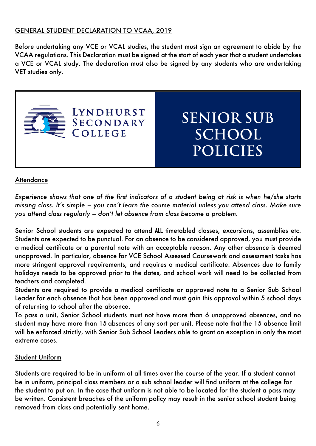### GENERAL STUDENT DECLARATION TO VCAA, 2019

Before undertaking any VCE or VCAL studies, the student must sign an agreement to abide by the VCAA regulations. This Declaration must be signed at the start of each year that a student undertakes a VCE or VCAL study. The declaration must also be signed by any students who are undertaking VET studies only.



### **Attendance**

*Experience shows that one of the first indicators of a student being at risk is when he/she starts missing class. It's simple – you can't learn the course material unless you attend class. Make sure you attend class regularly – don't let absence from class become a problem.*

Senior School students are expected to attend ALL timetabled classes, excursions, assemblies etc. Students are expected to be punctual. For an absence to be considered approved, you must provide a medical certificate or a parental note with an acceptable reason. Any other absence is deemed unapproved. In particular, absence for VCE School Assessed Coursework and assessment tasks has more stringent approval requirements, and requires a medical certificate. Absences due to family holidays needs to be approved prior to the dates, and school work will need to be collected from teachers and completed.

Students are required to provide a medical certificate or approved note to a Senior Sub School Leader for each absence that has been approved and must gain this approval within 5 school days of returning to school after the absence.

To pass a unit, Senior School students must not have more than 6 unapproved absences, and no student may have more than 15 absences of any sort per unit. Please note that the 15 absence limit will be enforced strictly, with Senior Sub School Leaders able to grant an exception in only the most extreme cases.

#### Student Uniform

Students are required to be in uniform at all times over the course of the year. If a student cannot be in uniform, principal class members or a sub school leader will find uniform at the college for the student to put on. In the case that uniform is not able to be located for the student a pass may be written. Consistent breaches of the uniform policy may result in the senior school student being removed from class and potentially sent home.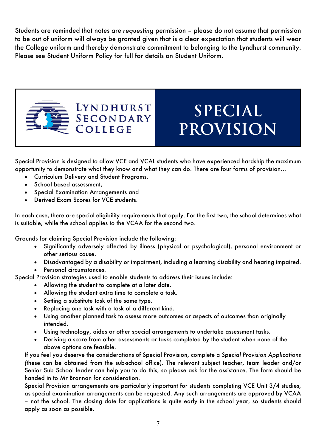Students are reminded that notes are *requesting* permission – please do not assume that permission to be out of uniform will always be granted given that is a clear expectation that students will wear the College uniform and thereby demonstrate commitment to belonging to the Lyndhurst community. Please see Student Uniform Policy for full for details on Student Uniform.



## **SPECIAL PROVISION**

Special Provision is designed to allow VCE and VCAL students who have experienced hardship the maximum opportunity to demonstrate what they know and what they can do. There are four forms of provision…

• Curriculum Delivery and Student Programs,

**LYNDHURST** 

**SECONDARY** 

**COLLEGE** 

- School based assessment,
- Special Examination Arrangements and
- Derived Exam Scores for VCE students.

In each case, there are special eligibility requirements that apply. For the first two, the school determines what is suitable, while the school applies to the VCAA for the second two.

Grounds for claiming Special Provision include the following:

- Significantly adversely affected by illness (physical or psychological), personal environment or other serious cause.
- Disadvantaged by a disability or impairment, including a learning disability and hearing impaired.
- Personal circumstances.

Special Provision strategies used to enable students to address their issues include:

- Allowing the student to complete at a later date.
- Allowing the student extra time to complete a task.
- Setting a substitute task of the same type.
- Replacing one task with a task of a different kind.
- Using another planned task to assess more outcomes or aspects of outcomes than originally intended.
- Using technology, aides or other special arrangements to undertake assessment tasks.
- Deriving a score from other assessments or tasks completed by the student when none of the above options are feasible.

If you feel you deserve the considerations of Special Provision, complete a *Special Provision Applications (*these can be obtained from the sub-school office)*.* The relevant subject teacher, team leader and/or Senior Sub School leader can help you to do this, so please ask for the assistance. The form should be handed in to Mr Brannan for consideration.

Special Provision arrangements are particularly important for students completing VCE Unit 3/4 studies, as special examination arrangements can be requested. Any such arrangements are approved by VCAA – not the school. The closing date for applications is quite early in the school year, so students should apply as soon as possible.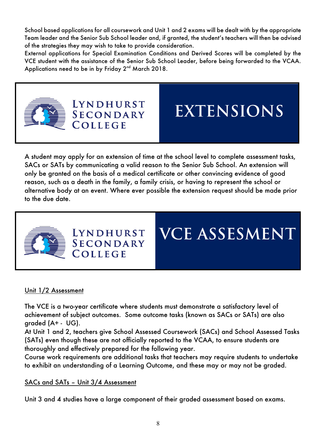School based applications for all coursework and Unit 1 and 2 exams will be dealt with by the appropriate Team leader and the Senior Sub School leader and, if granted, the student's teachers will then be advised of the strategies they may wish to take to provide consideration.

External applications for Special Examination Conditions and Derived Scores will be completed by the VCE student with the assistance of the Senior Sub School Leader, before being forwarded to the VCAA. Applications need to be in by Friday 2<sup>nd</sup> March 2018.



**EXTENSIONS**

A student may apply for an extension of time at the school level to complete assessment tasks, SACs or SATs by communicating a valid reason to the Senior Sub School. An extension will only be granted on the basis of a medical certificate or other convincing evidence of good reason, such as a death in the family, a family crisis, or having to represent the school or alternative body at an event. Where ever possible the extension request should be made prior to the due date.



LYNDHURST **SECONDARY** COLLEGE

**LYNDHURST SECONDARY** 

COLLEGE

### **VCE ASSESMENT**

### Unit 1/2 Assessment

The VCE is a two-year certificate where students must demonstrate a satisfactory level of achievement of subject outcomes. Some outcome tasks (known as SACs or SATs) are also graded (A+ - UG).

At Unit 1 and 2, teachers give School Assessed Coursework (SACs) and School Assessed Tasks (SATs) even though these are not officially reported to the VCAA, to ensure students are thoroughly and effectively prepared for the following year.

Course work requirements are additional tasks that teachers may require students to undertake to exhibit an understanding of a Learning Outcome, and these may or may not be graded.

### SACs and SATs – Unit 3/4 Assessment

Unit 3 and 4 studies have a large component of their graded assessment based on exams.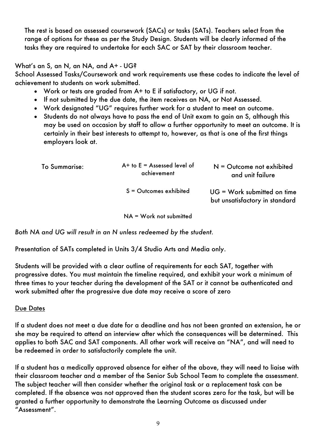The rest is based on assessed coursework (SACs) or tasks (SATs). Teachers select from the range of options for these as per the Study Design. Students will be clearly informed of the tasks they are required to undertake for each SAC or SAT by their classroom teacher.

What's an S, an N, an NA, and A+ - UG?

School Assessed Tasks/Coursework and work requirements use these codes to indicate the level of achievement to students on work submitted.

- Work or tests are graded from A+ to E if satisfactory, or UG if not.
- If not submitted by the due date, the item receives an NA, or Not Assessed.
- Work designated "UG" requires further work for a student to meet an outcome.
- Students do not always have to pass the end of Unit exam to gain an S, although this may be used on occasion by staff to allow a further opportunity to meet an outcome. It is certainly in their best interests to attempt to, however, as that is one of the first things employers look at.

| <b>To Summarise:</b> | $A+$ to $E =$ Assessed level of<br>achievement | $N =$ Outcome not exhibited<br>and unit failure                 |
|----------------------|------------------------------------------------|-----------------------------------------------------------------|
|                      | $S =$ Outcomes exhibited                       | $UG = Work$ submitted on time<br>but unsatisfactory in standard |

NA = Work not submitted

*Both NA and UG will result in an N unless redeemed by the student.*

Presentation of SATs completed in Units 3/4 Studio Arts and Media only.

Students will be provided with a clear outline of requirements for each SAT, together with progressive dates. You must maintain the timeline required, and exhibit your work a minimum of three times to your teacher during the development of the SAT or it cannot be authenticated and work submitted after the progressive due date may receive a score of zero

### Due Dates

If a student does not meet a due date for a deadline and has not been granted an extension, he or she may be required to attend an interview after which the consequences will be determined. This applies to both SAC and SAT components. All other work will receive an "NA", and will need to be redeemed in order to satisfactorily complete the unit.

If a student has a medically approved absence for either of the above, they will need to liaise with their classroom teacher and a member of the Senior Sub School Team to complete the assessment. The subject teacher will then consider whether the original task or a replacement task can be completed. If the absence was not approved then the student scores zero for the task, but will be granted a further opportunity to demonstrate the Learning Outcome as discussed under "Assessment".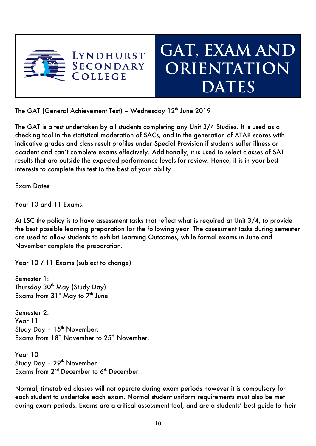

### **GAT, EXAM AND ORIENTATION DATES**

The GAT (General Achievement Test) - Wednesday 12<sup>th</sup> June 2019

The GAT is a test undertaken by all students completing any Unit 3/4 Studies. It is used as a checking tool in the statistical moderation of SACs, and in the generation of ATAR scores with indicative grades and class result profiles under Special Provision if students suffer illness or accident and can't complete exams effectively. Additionally, it is used to select classes of SAT results that are outside the expected performance levels for review. Hence, it is in your best interests to complete this test to the best of your ability.

### Exam Dates

Year 10 and 11 Fxams:

At LSC the policy is to have assessment tasks that reflect what is required at Unit 3/4, to provide the best possible learning preparation for the following year. The assessment tasks during semester are used to allow students to exhibit Learning Outcomes, while formal exams in June and November complete the preparation.

Year 10 / 11 Exams (subject to change)

Semester 1: Thursday 30<sup>th</sup> May (Study Day) Exams from  $31<sup>st</sup>$  May to  $7<sup>th</sup>$  June.

Semester 2: Year 11 Study Day -  $15<sup>th</sup>$  November. Exams from  $18<sup>th</sup>$  November to  $25<sup>th</sup>$  November.

Year 10 Study Day - 29<sup>th</sup> November Exams from  $2<sup>nd</sup>$  December to  $6<sup>th</sup>$  December

Normal, timetabled classes will not operate during exam periods however it is compulsory for each student to undertake each exam. Normal student uniform requirements must also be met during exam periods. Exams are a critical assessment tool, and are a students' best guide to their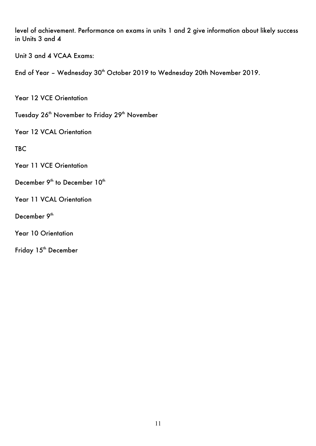level of achievement. Performance on exams in units 1 and 2 give information about likely success in Units 3 and 4

Unit 3 and 4 VCAA Exams:

End of Year - Wednesday 30<sup>th</sup> October 2019 to Wednesday 20th November 2019.

Year 12 VCE Orientation

Tuesday 26<sup>th</sup> November to Friday 29<sup>th</sup> November

Year 12 VCAL Orientation

**TBC** 

Year 11 VCE Orientation

December 9<sup>th</sup> to December 10<sup>th</sup>

Year 11 VCAL Orientation

December 9<sup>th</sup>

Year 10 Orientation

Friday 15<sup>th</sup> December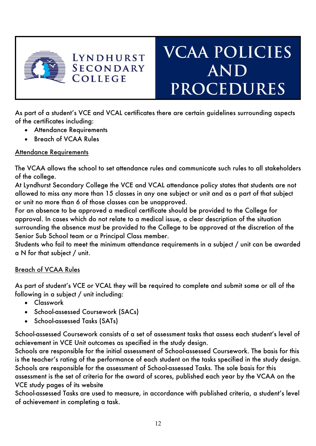

## **VCAA POLICIES AND PROCEDURES**

As part of a student's VCE and VCAL certificates there are certain guidelines surrounding aspects of the certificates including:

• Attendance Requirements

**LYNDHURST SECONDARY** 

COLLEGE

• Breach of VCAA Rules

### Attendance Requirements

The VCAA allows the school to set attendance rules and communicate such rules to all stakeholders of the college.

At Lyndhurst Secondary College the VCE and VCAL attendance policy states that students are not allowed to miss any more than 15 classes in any one subject or unit and as a part of that subject or unit no more than 6 of those classes can be unapproved.

For an absence to be approved a medical certificate should be provided to the College for approval. In cases which do not relate to a medical issue, a clear description of the situation surrounding the absence must be provided to the College to be approved at the discretion of the Senior Sub School team or a Principal Class member.

Students who fail to meet the minimum attendance requirements in a subject / unit can be awarded a N for that subject / unit.

### Breach of VCAA Rules

As part of student's VCE or VCAL they will be required to complete and submit some or all of the following in a subject / unit including:

- Classwork
- School-assessed Coursework (SACs)
- School-assessed Tasks (SATs)

School-assessed Coursework consists of a set of assessment tasks that assess each student's level of achievement in VCE Unit outcomes as specified in the study design.

Schools are responsible for the initial assessment of School-assessed Coursework. The basis for this is the teacher's rating of the performance of each student on the tasks specified in the study design. Schools are responsible for the assessment of School-assessed Tasks. The sole basis for this assessment is the set of criteria for the award of scores, published each year by the VCAA on the VCE study pages of its website

School-assessed Tasks are used to measure, in accordance with published criteria, a student's level of achievement in completing a task.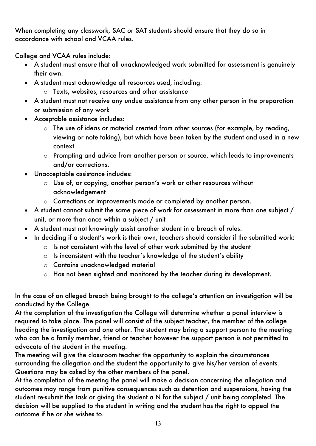When completing any classwork, SAC or SAT students should ensure that they do so in accordance with school and VCAA rules.

College and VCAA rules include:

- A student must ensure that all unacknowledged work submitted for assessment is genuinely their own.
- A student must acknowledge all resources used, including:
	- o Texts, websites, resources and other assistance
- A student must not receive any undue assistance from any other person in the preparation or submission of any work
- Acceptable assistance includes:
	- o The use of ideas or material created from other sources (for example, by reading, viewing or note taking), but which have been taken by the student and used in a new context
	- o Prompting and advice from another person or source, which leads to improvements and/or corrections.
- Unacceptable assistance includes:
	- o Use of, or copying, another person's work or other resources without acknowledgement
	- o Corrections or improvements made or completed by another person.
- A student cannot submit the same piece of work for assessment in more than one subject / unit, or more than once within a subject / unit
- A student must not knowingly assist another student in a breach of rules.
- In deciding if a student's work is their own, teachers should consider if the submitted work:
	- o Is not consistent with the level of other work submitted by the student
	- o Is inconsistent with the teacher's knowledge of the student's ability
	- o Contains unacknowledged material
	- o Has not been sighted and monitored by the teacher during its development.

In the case of an alleged breach being brought to the college's attention an investigation will be conducted by the College.

At the completion of the investigation the College will determine whether a panel interview is required to take place. The panel will consist of the subject teacher, the member of the college heading the investigation and one other. The student may bring a support person to the meeting who can be a family member, friend or teacher however the support person is not permitted to advocate of the student in the meeting.

The meeting will give the classroom teacher the opportunity to explain the circumstances surrounding the allegation and the student the opportunity to give his/her version of events. Questions may be asked by the other members of the panel.

At the completion of the meeting the panel will make a decision concerning the allegation and outcomes may range from punitive consequences such as detention and suspensions, having the student re-submit the task or giving the student a N for the subject / unit being completed. The decision will be supplied to the student in writing and the student has the right to appeal the outcome if he or she wishes to.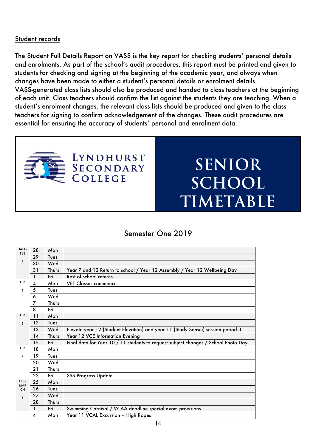#### Student records

The Student Full Details Report on VASS is the key report for checking students' personal details and enrolments. As part of the school's audit procedures, this report must be printed and given to students for checking and signing at the beginning of the academic year, and always when changes have been made to either a student's personal details or enrolment details. VASS-generated class lists should also be produced and handed to class teachers at the beginning of each unit. Class teachers should confirm the list against the students they are teaching. When a student's enrolment changes, the relevant class lists should be produced and given to the class teachers for signing to confirm acknowledgement of the changes. These audit procedures are essential for ensuring the accuracy of students' personal and enrolment data.



### LYNDHURST **SECONDARY OLLEGE**

### **SENIOR SCHOOL TIMETABLE**

### Semester One 2019

| JAN-<br><b>FEB</b> | 28                      | Mon   |                                                                                    |
|--------------------|-------------------------|-------|------------------------------------------------------------------------------------|
|                    | 29                      | Tues  |                                                                                    |
| $\mathbf{1}$       | 30                      | Wed   |                                                                                    |
|                    | 31                      | Thurs | Year 7 and 12 Return to school / Year 12 Assembly / Year 12 Wellbeing Day          |
|                    | $\mathbf{1}$            | Fri   | Rest of school returns                                                             |
| <b>FEB</b>         | $\overline{\mathbf{4}}$ | Mon   | <b>VET Classes commence</b>                                                        |
| $\mathbf{z}$       | 5                       | Tues  |                                                                                    |
|                    | 6                       | Wed   |                                                                                    |
|                    | 7                       | Thurs |                                                                                    |
|                    | 8                       | Fri   |                                                                                    |
| <b>FEB</b>         | 11                      | Mon   |                                                                                    |
| 3                  | 12                      | Tues  |                                                                                    |
|                    | 13                      | Wed   | Elevate year 12 (Student Elevation) and year 11 (Study Sensei) session period 3    |
|                    | 14                      | Thurs | Year 12 VCE Information Evening                                                    |
|                    | 15                      | Fri   | Final date for Year 10 / 11 students to request subject changes / School Photo Day |
| <b>FEB</b>         | 18                      | Mon   |                                                                                    |
|                    | 19                      | Tues  |                                                                                    |
|                    | 20                      | Wed   |                                                                                    |
|                    | 21                      | Thurs |                                                                                    |
|                    | 22                      | Fri   | <b>SSS Progress Update</b>                                                         |
| FEB-<br><b>MAR</b> | 25                      | Mon   |                                                                                    |
| CH                 | 26                      | Tues  |                                                                                    |
| 5                  | 27                      | Wed   |                                                                                    |
|                    | 28                      | Thurs |                                                                                    |
|                    | 1                       | Fri   | Swimming Carnival / VCAA deadline special exam provisions                          |
|                    | 4                       | Mon   | Year 11 VCAL Excursion - High Ropes                                                |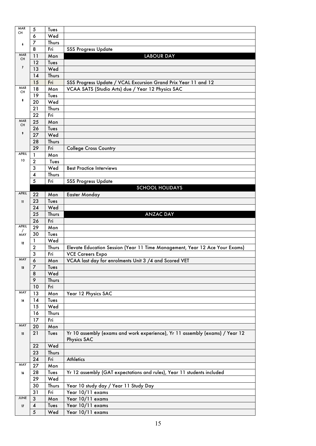| MAR                      | 5                       | Tues        |                                                                              |
|--------------------------|-------------------------|-------------|------------------------------------------------------------------------------|
| CH                       | 6                       | Wed         |                                                                              |
|                          | 7                       | Thurs       |                                                                              |
| 6                        | 8                       | Fri         | <b>SSS Progress Update</b>                                                   |
| <b>MAR</b>               | 11                      | Mon         | <b>LABOUR DAY</b>                                                            |
| CH                       | 12                      | Tues        |                                                                              |
| $\overline{\phantom{a}}$ |                         |             |                                                                              |
|                          | 13                      | Wed         |                                                                              |
|                          | 14                      | Thurs       |                                                                              |
|                          | 15                      | Fri         | SSS Progress Update / VCAL Excursion Grand Prix Year 11 and 12               |
| <b>MAR</b><br>CH         | 18                      | Mon         | VCAA SATS (Studio Arts) due / Year 12 Physics SAC                            |
| 8                        | 19                      | Tues        |                                                                              |
|                          | 20                      | Wed         |                                                                              |
|                          | 21                      | Thurs       |                                                                              |
|                          | 22                      | Fri         |                                                                              |
| <b>MAR</b><br>CH         | 25                      | Mon         |                                                                              |
|                          | 26                      | Tues        |                                                                              |
| 9                        | 27                      | Wed         |                                                                              |
|                          | 28                      | Thurs       |                                                                              |
|                          | 29                      | Fri         | <b>College Cross Country</b>                                                 |
| <b>APRIL</b>             | 1                       | Mon         |                                                                              |
| 10                       | $\mathbf{2}$            | Tues        |                                                                              |
|                          | 3                       | Wed         | <b>Best Practice Interviews</b>                                              |
|                          | 4                       | Thurs       |                                                                              |
|                          | 5                       | Fri         | <b>SSS Progress Update</b>                                                   |
|                          |                         |             | <b>SCHOOL HOLIDAYS</b>                                                       |
| <b>APRIL</b>             | 22                      | Mon         | <b>Easter Monday</b>                                                         |
| $\mathbf{11}$            | 23                      | Tues        |                                                                              |
|                          | 24                      | Wed         |                                                                              |
|                          | 25                      | Thurs       | <b>ANZAC DAY</b>                                                             |
|                          | 26                      | Fri         |                                                                              |
|                          |                         |             |                                                                              |
| APRIL                    |                         |             |                                                                              |
| $\prime$                 | 29                      | Mon         |                                                                              |
| MAY                      | 30                      | Tues        |                                                                              |
| 12                       | 1                       | Wed         |                                                                              |
|                          | $\overline{\mathbf{2}}$ | Thurs       | Elevate Education Session (Year 11 Time Management, Year 12 Ace Your Exams)  |
| MAY                      | 3                       | Fri         | <b>VCE Careers Expo</b>                                                      |
|                          | 6                       | Mon         | VCAA last day for enrolments Unit 3 /4 and Scored VET                        |
| 13                       | 7                       | Tues        |                                                                              |
|                          | 8                       | Wed         |                                                                              |
|                          | 9                       | Thurs       |                                                                              |
|                          | 10                      | Fri         |                                                                              |
| MAY                      | 13                      | Mon         | Year 12 Physics SAC                                                          |
| 14                       | 14                      | Tues        |                                                                              |
|                          | 15                      | Wed         |                                                                              |
|                          | 16                      | Thurs       |                                                                              |
|                          | 17                      | Fri         |                                                                              |
| MAY                      | 20                      | Mon         |                                                                              |
| 15                       | 21                      | Tues        | Yr 10 assembly (exams and work experience), Yr 11 assembly (exams) / Year 12 |
|                          |                         |             | <b>Physics SAC</b>                                                           |
|                          | 22                      | Wed         |                                                                              |
|                          | 23                      | Thurs       |                                                                              |
|                          | 24                      | Fri         | <b>Athletics</b>                                                             |
| MAY                      | 27                      | Mon         |                                                                              |
| 16                       | 28                      | Tues        | Yr 12 assembly (GAT expectations and rules), Year 11 students included       |
|                          | 29                      | Wed         |                                                                              |
|                          | 30                      | Thurs       | Year 10 study day / Year 11 Study Day                                        |
|                          | 31                      | Fri         | Year 10/11 exams                                                             |
| <b>JUNE</b>              | $\mathfrak{3}$          | Mon         | Year 10/11 exams                                                             |
| 17                       | $\boldsymbol{4}$<br>5   | Tues<br>Wed | Year 10/11 exams<br>Year 10/11 exams                                         |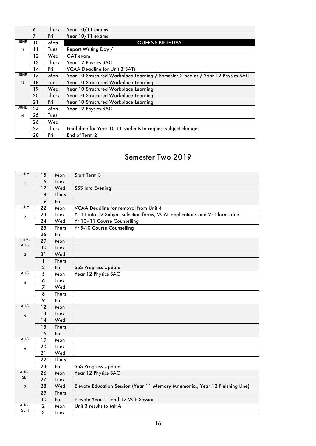|             | 6       | <b>Thurs</b> | Year 10/11 exams                                                                |
|-------------|---------|--------------|---------------------------------------------------------------------------------|
|             | 7       | Fri          | Year 10/11 exams                                                                |
| <b>JUNE</b> | 10      | Mon          | <b>QUEENS BIRTHDAY</b>                                                          |
| 18          | 11      | Tues         | Report Writing Day /                                                            |
|             | $12 \,$ | Wed          | GAT exam                                                                        |
|             | 13      | <b>Thurs</b> | Year 12 Physics SAC                                                             |
|             | 14      | Fri          | <b>VCAA Deadline for Unit 3 SATs</b>                                            |
| <b>JUNE</b> | 17      | Mon          | Year 10 Structured Workplace Learning / Semester 2 begins / Year 12 Physics SAC |
| 19          | 18      | Tues         | Year 10 Structured Workplace Learning                                           |
|             | 19      | Wed          | Year 10 Structured Workplace Learning                                           |
|             | 20      | Thurs        | Year 10 Structured Workplace Learning                                           |
|             | 21      | Fri          | Year 10 Structured Workplace Learning                                           |
| <b>JUNE</b> | 24      | Mon          | Year 12 Physics SAC                                                             |
| 20          | 25      | Tues         |                                                                                 |
|             | 26      | Wed          |                                                                                 |
|             | 27      | <b>Thurs</b> | Final date for Year 10 11 students to request subject changes                   |
|             | 28      | Fri          | End of Term 2                                                                   |

### Semester Two 2019

| <b>JULY</b>    | 15             | Mon   | Start Term 3                                                                 |
|----------------|----------------|-------|------------------------------------------------------------------------------|
| $\mathbf{I}$   | 16             | Tues  |                                                                              |
|                | 17             | Wed   | SSS Info Evening                                                             |
|                | 18             | Thurs |                                                                              |
|                | 19             | Fri   |                                                                              |
| <b>JULY</b>    | 22             | Mon   | <b>VCAA Deadline for removal from Unit 4</b>                                 |
| $\mathbf{2}$   | 23             | Tues  | Yr 11 into 12 Subject selection forms, VCAL applications and VET forms due   |
|                | 24             | Wed   | Yr 10-11 Course Counselling                                                  |
|                | 25             | Thurs | Yr 9-10 Course Counselling                                                   |
|                | 26             | Fri   |                                                                              |
| <b>JULY -</b>  | 29             | Mon   |                                                                              |
| <b>AUG</b>     | 30             | Tues  |                                                                              |
| 3              | 31             | Wed   |                                                                              |
|                | $\mathbf{1}$   | Thurs |                                                                              |
|                | $\overline{2}$ | Fri   | <b>SSS Progress Update</b>                                                   |
| <b>AUG</b>     | 5              | Mon   | Year 12 Physics SAC                                                          |
| 4              | 6              | Tues  |                                                                              |
|                | $\overline{7}$ | Wed   |                                                                              |
|                | 8              | Thurs |                                                                              |
|                | 9              | Fri   |                                                                              |
| <b>AUG</b>     | 12             | Mon   |                                                                              |
| 5              | 13             | Tues  |                                                                              |
|                | 14             | Wed   |                                                                              |
|                | 15             | Thurs |                                                                              |
|                | 16             | Fri   |                                                                              |
| <b>AUG</b>     | 19             | Mon   |                                                                              |
| 6              | 20             | Tues  |                                                                              |
|                | 21             | Wed   |                                                                              |
|                | 22             | Thurs |                                                                              |
|                | 23             | Fri   | <b>SSS Progress Update</b>                                                   |
| AUG -          | 26             | Mon   | Year 12 Physics SAC                                                          |
| <b>SEP</b>     | 27             | Tues  |                                                                              |
| $\overline{I}$ | 28             | Wed   | Elevate Education Session (Year 11 Memory Mnemonics, Year 12 Finishing Line) |
|                | 29             | Thurs |                                                                              |
|                | 30             | Fri   | Elevate Year 11 and 12 VCE Session                                           |
| AUG-           | $\mathbf{2}$   | Mon   | Unit 3 results to MHA                                                        |
| <b>SEPT</b>    | 3              | Tues  |                                                                              |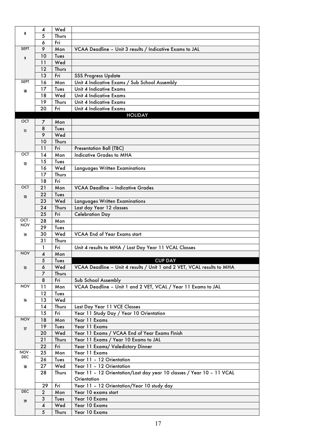|              | 4              | Wed   |                                                                        |
|--------------|----------------|-------|------------------------------------------------------------------------|
| 8            | 5              | Thurs |                                                                        |
|              | 6              | Fri   |                                                                        |
| <b>SEPT</b>  | 9              | Mon   | VCAA Deadline - Unit 3 results / Indicative Exams to JAL               |
|              | 10             | Tues  |                                                                        |
| 9            | 11             | Wed   |                                                                        |
|              |                |       |                                                                        |
|              | 12             | Thurs |                                                                        |
|              | 13             | Fri   | <b>SSS Progress Update</b>                                             |
| <b>SEPT</b>  | 16             | Mon   | Unit 4 Indicative Exams / Sub School Assembly                          |
| 10           | 17             | Tues  | Unit 4 Indicative Exams                                                |
|              | 18             | Wed   | Unit 4 Indicative Exams                                                |
|              | 19             | Thurs | Unit 4 Indicative Exams                                                |
|              | 20             | Fri   | Unit 4 Indicative Exams                                                |
|              |                |       | <b>HOLIDAY</b>                                                         |
| <b>OCT</b>   | 7              | Mon   |                                                                        |
| $\mathbf{1}$ | 8              | Tues  |                                                                        |
|              | 9              | Wed   |                                                                        |
|              | 10             | Thurs |                                                                        |
|              | 11             | Fri   | <b>Presentation Ball (TBC)</b>                                         |
| <b>OCT</b>   | 14             | Mon   | <b>Indicative Grades to MHA</b>                                        |
|              | 15             | Tues  |                                                                        |
| 12           | 16             | Wed   | Languages Written Examinations                                         |
|              | 17             | Thurs |                                                                        |
|              | 18             | Fri   |                                                                        |
| OCT          | 21             | Mon   | <b>VCAA Deadline - Indicative Grades</b>                               |
|              | 22             | Tues  |                                                                        |
| 13           |                | Wed   |                                                                        |
|              | 23             |       | Languages Written Examinations                                         |
|              | 24             | Thurs | Last day Year 12 classes                                               |
| OCT-         | 25             | Fri   | <b>Celebration Day</b>                                                 |
| <b>NOV</b>   | 28             | Mon   |                                                                        |
|              | 29             | Tues  |                                                                        |
| 14           | 30             | Wed   | <b>VCAA End of Year Exams start</b>                                    |
|              | 31             | Thurs |                                                                        |
|              | 1              | Fri   | Unit 4 results to MHA / Last Day Year 11 VCAL Classes                  |
| <b>NOV</b>   | 4              | Mon   |                                                                        |
|              | 5              | Tues  | <b>CUP DAY</b>                                                         |
| 15           | 6              | Wed   | VCAA Deadline - Unit 4 results / Unit 1 and 2 VET, VCAL results to MHA |
|              | 7              | Thurs |                                                                        |
|              | 8              | Fri   | Sub School Assembly                                                    |
| <b>NOV</b>   | 11             | Mon   | VCAA Deadline - Unit 1 and 2 VET, VCAL / Year 11 Exams to JAL          |
|              | 12             | Tues  |                                                                        |
| 16           | 13             | Wed   |                                                                        |
|              | 14             | Thurs | Last Day Year 11 VCE Classes                                           |
|              | 15             | Fri   | Year 11 Study Day / Year 10 Orientation                                |
| <b>NOV</b>   | 18             | Mon   | Year 11 Exams                                                          |
| 17           | 19             | Tues  | Year 11 Exams                                                          |
|              | 20             | Wed   | Year 11 Exams / VCAA End of Year Exams Finish                          |
|              | 21             | Thurs | Year 11 Exams / Year 10 Exams to JAL                                   |
|              | 22             | Fri   | Year 11 Exams/ Valedictory Dinner                                      |
| NOV-         | 25             | Mon   | Year 11 Exams                                                          |
| <b>DEC</b>   | 26             | Tues  | Year 11 - 12 Orientation                                               |
| 18           | 27             | Wed   | Year 11 - 12 Orientation                                               |
|              | 28             | Thurs | Year 11 - 12 Orientation/Last day year 10 classes / Year 10 - 11 VCAL  |
|              |                |       | Orientation                                                            |
|              | 29             | Fri   | Year 11 - 12 Orientation/Year 10 study day                             |
| <b>DEC</b>   | $\overline{2}$ | Mon   | Year 10 exams start                                                    |
|              | 3              | Tues  | Year 10 Exams                                                          |
| 19           | 4              | Wed   | Year 10 Exams                                                          |
|              | 5              | Thurs | Year 10 Exams                                                          |
|              |                |       |                                                                        |